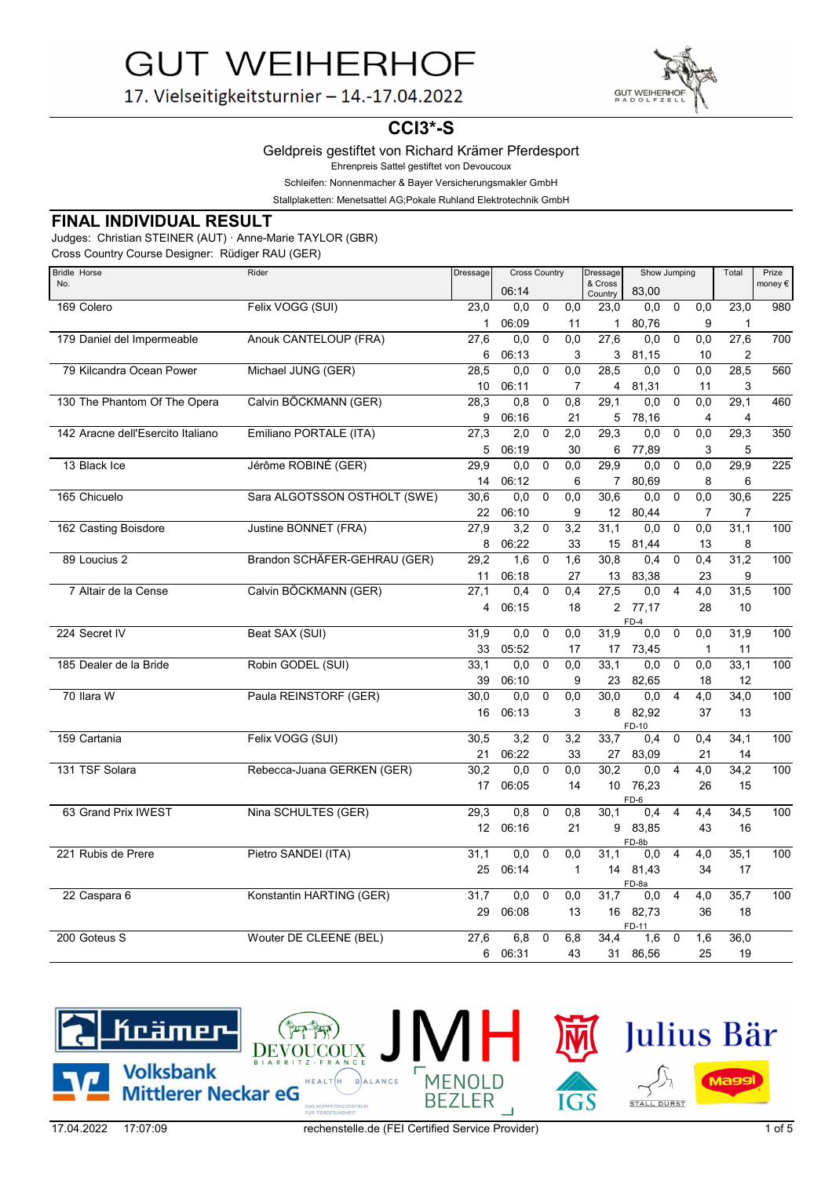GUT WEIHERH

17. Vielseitigkeitsturnier - 14.-17.04.2022

# **CCI3\*-S**

### Geldpreis gestiftet von Richard Krämer Pferdesport

Ehrenpreis Sattel gestiftet von Devoucoux

Schleifen: Nonnenmacher & Bayer Versicherungsmakler GmbH

Stallplaketten: Menetsattel AG;Pokale Ruhland Elektrotechnik GmbH

### **FINAL INDIVIDUAL RESULT**

Judges: Christian STEINER (AUT) · Anne-Marie TAYLOR (GBR)

Cross Country Course Designer: Rüdiger RAU (GER)

| <b>Bridle Horse</b>               | Rider                        | Dressage        | <b>Cross Country</b> |             | Dressage         | Show Jumping       |                   |                           | Total            | Prize |                  |
|-----------------------------------|------------------------------|-----------------|----------------------|-------------|------------------|--------------------|-------------------|---------------------------|------------------|-------|------------------|
| No.                               |                              |                 | 06:14                |             |                  | & Cross<br>Country | 83,00             |                           |                  |       | money $\epsilon$ |
| 169 Colero                        | Felix VOGG (SUI)             | 23,0            | 0.0                  | $\mathbf 0$ | 0,0              | 23,0               | 0,0               | $\mathbf 0$               | 0,0              | 23,0  | 980              |
|                                   |                              | $\mathbf{1}$    | 06:09                |             | 11               | $\mathbf{1}$       | 80,76             |                           | 9                | 1     |                  |
| 179 Daniel del Impermeable        | Anouk CANTELOUP (FRA)        | 27,6            | 0,0                  | $\mathbf 0$ | 0,0              | 27,6               | 0,0               | $\mathbf 0$               | 0,0              | 27,6  | 700              |
|                                   |                              | 6               | 06:13                |             | 3                | 3                  | 81,15             |                           | 10               | 2     |                  |
| 79 Kilcandra Ocean Power          | Michael JUNG (GER)           | 28,5            | 0,0                  | $\mathbf 0$ | 0,0              | 28,5               | 0,0               | $\mathbf 0$               | 0,0              | 28,5  | 560              |
|                                   |                              | 10              | 06:11                |             | 7                | $\overline{4}$     | 81,31             |                           | 11               | 3     |                  |
| 130 The Phantom Of The Opera      | Calvin BÖCKMANN (GER)        | 28,3            | 0,8                  | $\Omega$    | 0,8              | 29,1               | 0,0               | $\overline{0}$            | 0,0              | 29,1  | 460              |
|                                   |                              | 9               | 06:16                |             | 21               | 5                  | 78,16             |                           | 4                | 4     |                  |
| 142 Aracne dell'Esercito Italiano | Emiliano PORTALE (ITA)       | 27,3            | 2,0                  | 0           | 2,0              | 29,3               | 0,0               | $\mathbf 0$               | 0,0              | 29,3  | 350              |
|                                   |                              | 5               | 06:19                |             | 30               | 6                  | 77,89             |                           | 3                | 5     |                  |
| 13 Black Ice                      | Jérôme ROBINÉ (GER)          | 29,9            | 0,0                  | $\mathbf 0$ | 0,0              | 29,9               | 0,0               | $\mathbf 0$               | 0,0              | 29,9  | $\overline{225}$ |
|                                   |                              | 14              | 06:12                |             | 6                | $\overline{7}$     | 80,69             |                           | 8                | 6     |                  |
| 165 Chicuelo                      | Sara ALGOTSSON OSTHOLT (SWE) | 30,6            | 0.0                  | $\Omega$    | 0.0              | 30.6               | 0.0               | $\overline{\mathfrak{o}}$ | 0,0              | 30,6  | 225              |
|                                   |                              | 22              | 06:10                |             | 9                | 12 <sup>12</sup>   | 80,44             |                           | 7                | 7     |                  |
| 162 Casting Boisdore              | Justine BONNET (FRA)         | 27,9            | 3,2                  | $\mathbf 0$ | 3,2              | 31,1               | 0.0               | $\mathbf 0$               | 0,0              | 31,1  | 100              |
|                                   |                              | 8               | 06:22                |             | 33               | 15                 | 81,44             |                           | 13               | 8     |                  |
| 89 Loucius 2                      | Brandon SCHÄFER-GEHRAU (GER) | 29,2            | 1,6                  | $\mathbf 0$ | 1,6              | 30,8               | 0,4               | $\Omega$                  | 0,4              | 31,2  | 100              |
|                                   |                              | 11              | 06:18                |             | 27               | 13                 | 83,38             |                           | 23               | 9     |                  |
| 7 Altair de la Cense              | Calvin BÖCKMANN (GER)        | 27,1            | 0.4                  | $\mathbf 0$ | 0,4              | 27,5               | 0,0               | $\overline{4}$            | 4,0              | 31,5  | 100              |
|                                   |                              | 4               | 06:15                |             | 18               |                    | 2 77,17<br>$FD-4$ |                           | 28               | 10    |                  |
| 224 Secret IV                     | Beat SAX (SUI)               | 31,9            | 0,0                  | $\mathbf 0$ | 0,0              | 31,9               | 0,0               | $\mathbf 0$               | $\overline{0,0}$ | 31,9  | 100              |
|                                   |                              | 33              | 05:52                |             | 17               | 17                 | 73,45             |                           | 1                | 11    |                  |
| 185 Dealer de la Bride            | Robin GODEL (SUI)            | 33,1            | 0.0                  | $\Omega$    | 0.0              | 33.1               | 0.0               | $\Omega$                  | 0,0              | 33.1  | 100              |
|                                   |                              | 39              | 06:10                |             | 9                | 23                 | 82,65             |                           | 18               | 12    |                  |
| 70 Ilara W                        | Paula REINSTORF (GER)        | 30,0            | 0,0                  | 0           | 0,0              | 30,0               | 0,0               | 4                         | 4,0              | 34,0  | 100              |
|                                   |                              | 16              | 06:13                |             | 3                | 8                  | 82,92             |                           | 37               | 13    |                  |
| 159 Cartania                      | Felix VOGG (SUI)             | 30,5            | 3,2                  | $\mathbf 0$ | 3,2              | 33,7               | FD-10<br>0,4      | $\mathbf 0$               | 0,4              | 34,1  | 100              |
|                                   |                              | 21              | 06:22                |             | 33               | 27                 | 83,09             |                           | 21               | 14    |                  |
| 131 TSF Solara                    | Rebecca-Juana GERKEN (GER)   | 30,2            | 0,0                  | $\mathbf 0$ | 0,0              | 30,2               | 0,0               | $\overline{4}$            | $\overline{4,0}$ | 34,2  | 100              |
|                                   |                              | 17              | 06:05                |             | 14               |                    | 10 76,23          |                           | 26               | 15    |                  |
|                                   |                              |                 |                      |             |                  |                    | FD-6              |                           |                  |       |                  |
| 63 Grand Prix IWEST               | Nina SCHULTES (GER)          | 29,3            | 0,8                  | $\mathbf 0$ | 0,8              | 30,1               | 0,4               | $\overline{4}$            | 4,4              | 34,5  | 100              |
|                                   |                              | 12 <sup>2</sup> | 06:16                |             | 21               | 9                  | 83,85<br>FD-8b    |                           | 43               | 16    |                  |
| 221 Rubis de Prere                | Pietro SANDEI (ITA)          | 31,1            | 0.0                  | $\Omega$    | 0,0              | 31,1               | 0,0               | $\overline{4}$            | 4,0              | 35,1  | 100              |
|                                   |                              |                 | 25 06:14             |             | $\mathbf{1}$     |                    | 14 81,43          |                           | 34               | 17    |                  |
| 22 Caspara 6                      | Konstantin HARTING (GER)     | 31,7            | 0,0                  | $\mathbf 0$ | $\overline{0,0}$ | 31,7               | FD-8a             | $\overline{4}$            | $\overline{4,0}$ | 35,7  | 100              |
|                                   |                              |                 |                      |             |                  |                    | 0,0               |                           |                  |       |                  |
|                                   |                              | 29              | 06:08                |             | 13               |                    | 16 82,73<br>FD-11 |                           | 36               | 18    |                  |
| 200 Goteus S                      | Wouter DE CLEENE (BEL)       | 27,6            | 6,8                  | $\mathbf 0$ | 6,8              | 34,4               | 1,6               | $\mathbf 0$               | 1,6              | 36,0  |                  |
|                                   |                              | 6               | 06:31                |             | 43               | 31                 | 86,56             |                           | 25               | 19    |                  |
|                                   |                              |                 |                      |             |                  |                    |                   |                           |                  |       |                  |

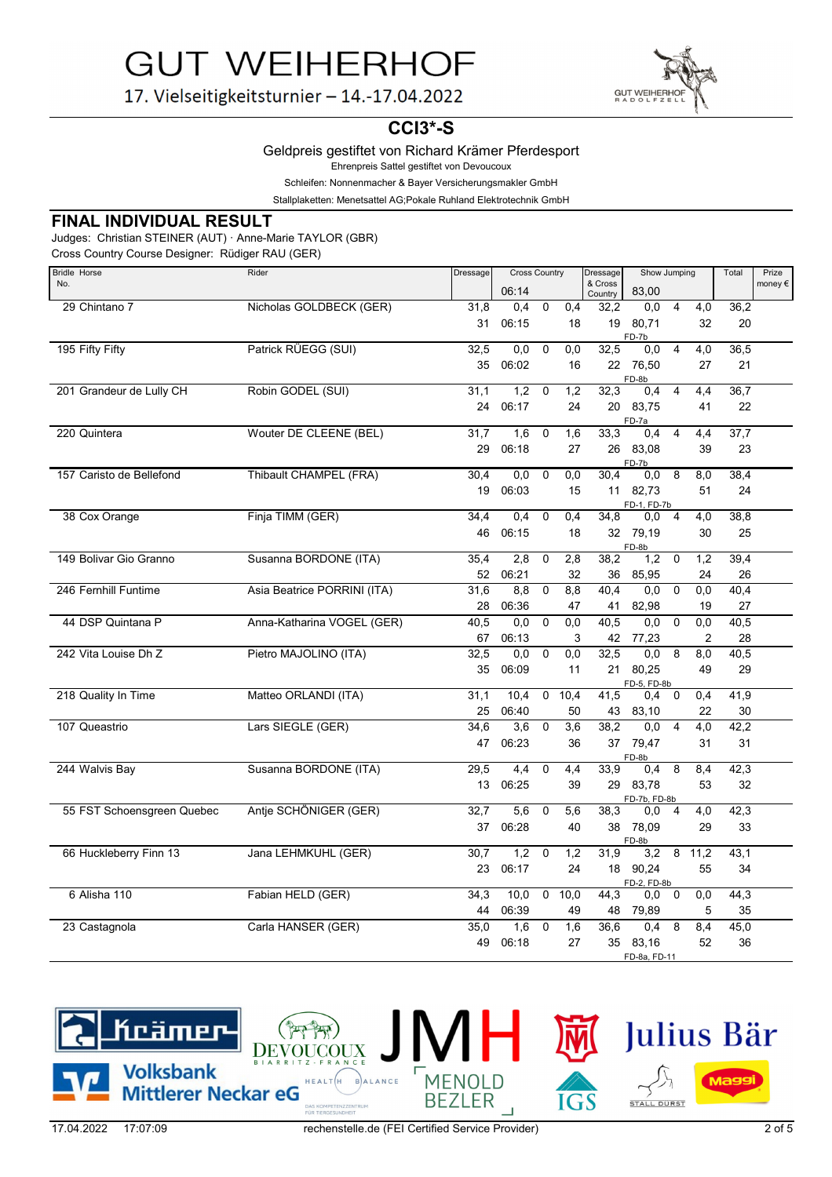

17. Vielseitigkeitsturnier - 14.-17.04.2022

## **CCI3\*-S**

### Geldpreis gestiftet von Richard Krämer Pferdesport

Ehrenpreis Sattel gestiftet von Devoucoux

Schleifen: Nonnenmacher & Bayer Versicherungsmakler GmbH

Stallplaketten: Menetsattel AG;Pokale Ruhland Elektrotechnik GmbH

## **FINAL INDIVIDUAL RESULT**

Judges: Christian STEINER (AUT) · Anne-Marie TAYLOR (GBR)

Cross Country Course Designer: Rüdiger RAU (GER)

| Bridle Horse               | Rider                       | Dressage | <b>Cross Country</b> |                |                  |                    | Show Jumping       |                |                  | Total | Prize            |
|----------------------------|-----------------------------|----------|----------------------|----------------|------------------|--------------------|--------------------|----------------|------------------|-------|------------------|
| No.                        |                             |          | 06:14                |                |                  | & Cross<br>Country | 83,00              |                |                  |       | money $\epsilon$ |
| 29 Chintano 7              | Nicholas GOLDBECK (GER)     | 31,8     | 0.4                  | $\overline{0}$ | 0,4              | 32,2               | 0,0                | $\overline{4}$ | $\overline{4,0}$ | 36,2  |                  |
|                            |                             | 31       | 06:15                |                | 18               | 19                 | 80,71              |                | 32               | 20    |                  |
|                            |                             |          |                      |                |                  |                    | FD-7b              |                |                  |       |                  |
| 195 Fifty Fifty            | Patrick RÜEGG (SUI)         | 32,5     | 0,0                  | $\mathbf 0$    | 0,0              | 32,5               | 0,0                | $\overline{4}$ | 4,0              | 36,5  |                  |
|                            |                             | 35       | 06:02                |                | 16               |                    | 22 76,50<br>FD-8b  |                | 27               | 21    |                  |
| 201 Grandeur de Lully CH   | Robin GODEL (SUI)           | 31,1     | 1,2                  | $\mathbf 0$    | 1,2              | 32,3               | 0,4                | $\overline{4}$ | 4,4              | 36,7  |                  |
|                            |                             | 24       | 06:17                |                | 24               |                    | 20 83,75           |                | 41               | 22    |                  |
| 220 Quintera               | Wouter DE CLEENE (BEL)      | 31,7     | 1,6                  | $\mathbf 0$    | 1,6              | 33,3               | FD-7a<br>0,4       | $\overline{4}$ | 4,4              | 37,7  |                  |
|                            |                             | 29       | 06:18                |                | 27               |                    | 26 83,08           |                | 39               | 23    |                  |
|                            |                             |          |                      |                |                  |                    | FD-7b              |                |                  |       |                  |
| 157 Caristo de Bellefond   | Thibault CHAMPEL (FRA)      | 30,4     | 0,0                  | $\mathbf 0$    | 0,0              | 30,4               | 0,0                | 8              | 8,0              | 38,4  |                  |
|                            |                             | 19       | 06:03                |                | 15               |                    | 11 82,73           |                | 51               | 24    |                  |
| 38 Cox Orange              | Finja TIMM (GER)            | 34,4     | 0,4                  | $\mathbf 0$    | 0,4              | 34,8               | FD-1, FD-7b<br>0,0 | $\overline{4}$ | 4,0              | 38,8  |                  |
|                            |                             | 46       | 06:15                |                | 18               |                    | 32 79,19           |                | 30               | 25    |                  |
|                            |                             |          |                      |                |                  |                    | FD-8b              |                |                  |       |                  |
| 149 Bolivar Gio Granno     | Susanna BORDONE (ITA)       | 35,4     | 2,8                  | $\mathbf 0$    | 2,8              | 38,2               | 1,2                | $\mathbf 0$    | 1,2              | 39,4  |                  |
|                            |                             | 52       | 06:21                |                | 32               | 36                 | 85,95              |                | 24               | 26    |                  |
| 246 Fernhill Funtime       | Asia Beatrice PORRINI (ITA) | 31,6     | 8,8                  | $\mathbf 0$    | 8,8              | 40.4               | 0,0                | $\mathbf 0$    | 0,0              | 40,4  |                  |
|                            |                             | 28       | 06:36                |                | 47               | 41                 | 82,98              |                | 19               | 27    |                  |
| 44 DSP Quintana P          | Anna-Katharina VOGEL (GER)  | 40,5     | 0,0                  | $\mathbf 0$    | 0,0              | 40,5               | 0,0                | $\mathbf 0$    | $\overline{0,0}$ | 40,5  |                  |
|                            |                             | 67       | 06:13                |                | 3                | 42                 | 77,23              |                | $\overline{2}$   | 28    |                  |
| 242 Vita Louise Dh Z       | Pietro MAJOLINO (ITA)       | 32,5     | 0.0                  | $\mathbf 0$    | 0.0              | 32,5               | 0.0                | 8              | 8.0              | 40,5  |                  |
|                            |                             | 35       | 06:09                |                | 11               |                    | 21 80,25           |                | 49               | 29    |                  |
| 218 Quality In Time        | Matteo ORLANDI (ITA)        | 31,1     | 10,4                 | $\mathbf 0$    | 10,4             | 41,5               | FD-5, FD-8b<br>0,4 | $\mathbf 0$    | 0,4              | 41,9  |                  |
|                            |                             | 25       | 06:40                |                | 50               | 43                 | 83,10              |                | 22               | 30    |                  |
| 107 Queastrio              | Lars SIEGLE (GER)           | 34,6     | 3,6                  | $\mathbf 0$    | $\overline{3,6}$ | 38,2               | 0,0                | $\overline{4}$ | 4,0              | 42,2  |                  |
|                            |                             | 47       | 06:23                |                | 36               |                    | 37 79,47           |                | 31               | 31    |                  |
|                            |                             |          |                      |                |                  |                    | FD-8b              |                |                  |       |                  |
| 244 Walvis Bay             | Susanna BORDONE (ITA)       | 29,5     | 4,4                  | $\mathbf 0$    | 4,4              | 33,9               | 0,4                | 8              | 8,4              | 42,3  |                  |
|                            |                             | 13       | 06:25                |                | 39               | 29                 | 83,78              |                | 53               | 32    |                  |
|                            | Antje SCHÖNIGER (GER)       | 32,7     | 5,6                  | $\mathbf 0$    | 5,6              | 38,3               | FD-7b, FD-8b       |                | 4,0              | 42,3  |                  |
| 55 FST Schoensgreen Quebec |                             |          |                      |                |                  |                    | 0,0                | 4              |                  |       |                  |
|                            |                             | 37       | 06:28                |                | 40               | 38                 | 78,09<br>FD-8b     |                | 29               | 33    |                  |
| 66 Huckleberry Finn 13     | Jana LEHMKUHL (GER)         | 30,7     | 1,2                  | $\mathbf 0$    | 1,2              | 31,9               | 3,2                | 8              | 11,2             | 43.1  |                  |
|                            |                             | 23       | 06:17                |                | 24               | 18                 | 90,24              |                | 55               | 34    |                  |
| 6 Alisha 110               | Fabian HELD (GER)           | 34,3     | 10,0                 | 0              | 10,0             | 44,3               | FD-2, FD-8b<br>0,0 | 0              | 0,0              | 44,3  |                  |
|                            |                             | 44       | 06:39                |                | 49               | 48                 | 79,89              |                | 5                | 35    |                  |
| 23 Castagnola              | Carla HANSER (GER)          | 35,0     | 1,6                  | $\mathbf 0$    | 1,6              | 36,6               | 0,4                | 8              | 8,4              | 45,0  |                  |
|                            |                             | 49       | 06:18                |                | 27               | 35                 | 83,16              |                | 52               | 36    |                  |
|                            |                             |          |                      |                |                  |                    | FD-8a, FD-11       |                |                  |       |                  |

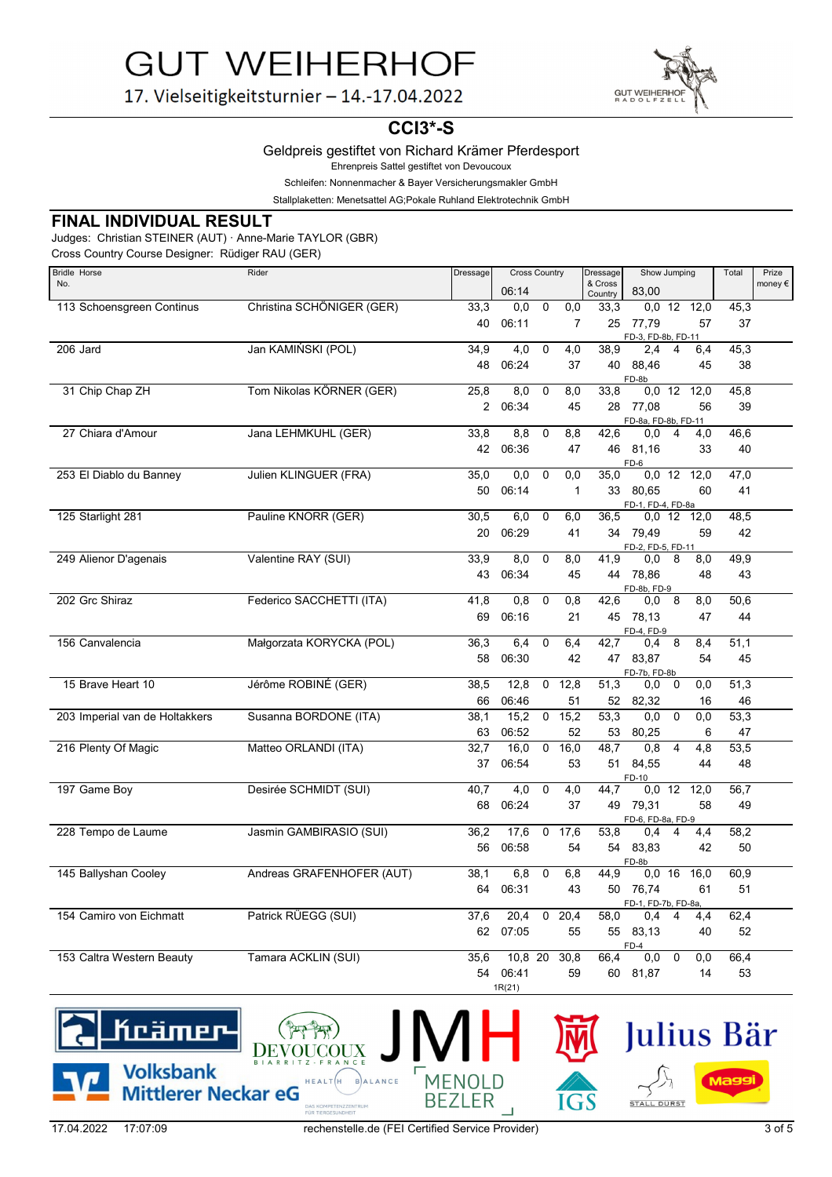

17. Vielseitigkeitsturnier - 14.-17.04.2022

## **CCI3\*-S**

Geldpreis gestiftet von Richard Krämer Pferdesport

Ehrenpreis Sattel gestiftet von Devoucoux

Schleifen: Nonnenmacher & Bayer Versicherungsmakler GmbH

Stallplaketten: Menetsattel AG;Pokale Ruhland Elektrotechnik GmbH

### **FINAL INDIVIDUAL RESULT**

Judges: Christian STEINER (AUT) · Anne-Marie TAYLOR (GBR)

Cross Country Course Designer: Rüdiger RAU (GER)

| Bridle Horse                   | Rider                     | Dressage       | <b>Cross Country</b> |             | Dressage       | Show Jumping       |                              |                | Total                    | Prize |         |
|--------------------------------|---------------------------|----------------|----------------------|-------------|----------------|--------------------|------------------------------|----------------|--------------------------|-------|---------|
| No.                            |                           |                | 06:14                |             |                | & Cross<br>Country | 83.00                        |                |                          |       | money € |
| 113 Schoensgreen Continus      | Christina SCHÖNIGER (GER) | 33,3           | 0,0                  | 0           | 0,0            | 33,3               |                              |                | $\overline{0,0}$ 12 12,0 | 45,3  |         |
|                                |                           | 40             | 06:11                |             | $\overline{7}$ | 25                 | 77,79<br>FD-3, FD-8b, FD-11  |                | 57                       | 37    |         |
| 206 Jard                       | Jan KAMIŃSKI (POL)        | 34,9           | 4,0                  | $\mathbf 0$ | 4,0            | 38,9               | 2,4                          | 4              | 6,4                      | 45,3  |         |
|                                |                           | 48             | 06:24                |             | 37             | 40                 | 88,46<br>FD-8b               |                | 45                       | 38    |         |
| 31 Chip Chap ZH                | Tom Nikolas KÖRNER (GER)  | 25,8           | 8,0                  | 0           | 8,0            | 33,8               |                              | $0,0$ 12       | 12,0                     | 45,8  |         |
|                                |                           | $\overline{2}$ | 06:34                |             | 45             | 28                 | 77,08<br>FD-8a, FD-8b, FD-11 |                | 56                       | 39    |         |
| 27 Chiara d'Amour              | Jana LEHMKUHL (GER)       | 33,8           | 8,8                  | $\mathbf 0$ | 8,8            | 42,6               | 0,0                          | $\overline{4}$ | 4,0                      | 46,6  |         |
|                                |                           | 42             | 06:36                |             | 47             | 46                 | 81.16<br>FD-6                |                | 33                       | 40    |         |
| 253 El Diablo du Banney        | Julien KLINGUER (FRA)     | 35,0           | 0.0                  | $\mathbf 0$ | 0,0            | 35,0               | $0,0$ 12                     |                | 12,0                     | 47,0  |         |
|                                |                           | 50             | 06:14                |             | $\mathbf{1}$   | 33                 | 80.65<br>FD-1, FD-4, FD-8a   |                | 60                       | 41    |         |
| 125 Starlight 281              | Pauline KNORR (GER)       | 30,5           | 6.0                  | $\mathbf 0$ | 6.0            | 36,5               | 0,0,12                       |                | 12.0                     | 48,5  |         |
|                                |                           | 20             | 06:29                |             | 41             | 34                 | 79,49<br>FD-2, FD-5, FD-11   |                | 59                       | 42    |         |
| 249 Alienor D'agenais          | Valentine RAY (SUI)       | 33,9           | 8,0                  | $\mathbf 0$ | 8,0            | 41,9               | 0,0                          | 8              | 8,0                      | 49,9  |         |
|                                |                           | 43             | 06:34                |             | 45             |                    | 44 78,86<br>FD-8b, FD-9      |                | 48                       | 43    |         |
| 202 Grc Shiraz                 | Federico SACCHETTI (ITA)  | 41,8           | 0,8                  | $\mathbf 0$ | 0,8            | 42,6               | 0,0                          | $_{\rm 8}$     | 8,0                      | 50,6  |         |
|                                |                           | 69             | 06:16                |             | 21             | 45                 | 78,13<br>FD-4, FD-9          |                | 47                       | 44    |         |
| 156 Canvalencia                | Małgorzata KORYCKA (POL)  | 36,3           | 6,4                  | $\mathbf 0$ | 6,4            | 42,7               | 0,4                          | 8              | 8,4                      | 51,1  |         |
|                                |                           | 58             | 06:30                |             | 42             |                    | 47 83,87<br>FD-7b, FD-8b     |                | 54                       | 45    |         |
| 15 Brave Heart 10              | Jérôme ROBINÉ (GER)       | 38,5           | 12,8                 | 0           | 12,8           | 51,3               | 0,0                          | 0              | 0,0                      | 51,3  |         |
|                                |                           | 66             | 06:46                |             | 51             | 52                 | 82,32                        |                | 16                       | 46    |         |
| 203 Imperial van de Holtakkers | Susanna BORDONE (ITA)     | 38,1           | 15,2                 | $\mathbf 0$ | 15,2           | 53,3               | 0,0                          | $\mathbf 0$    | 0,0                      | 53,3  |         |
|                                |                           | 63             | 06:52                |             | 52             | 53                 | 80,25                        |                | 6                        | 47    |         |
| 216 Plenty Of Magic            | Matteo ORLANDI (ITA)      | 32,7           | 16,0                 | $\mathbf 0$ | 16,0           | 48,7               | 0.8                          | $\overline{4}$ | 4,8                      | 53,5  |         |
|                                |                           | 37             | 06:54                |             | 53             | 51                 | 84,55<br>FD-10               |                | 44                       | 48    |         |
| 197 Game Boy                   | Desirée SCHMIDT (SUI)     | 40.7           | 4.0                  | $\mathbf 0$ | 4.0            | 44.7               | $0,0$ 12                     |                | 12.0                     | 56.7  |         |
|                                |                           | 68             | 06:24                |             | 37             | 49                 | 79,31<br>FD-6, FD-8a, FD-9   |                | 58                       | 49    |         |
| 228 Tempo de Laume             | Jasmin GAMBIRASIO (SUI)   | 36,2           | 17,6                 | 0           | 17,6           | 53,8               | 0,4                          | 4              | 4,4                      | 58,2  |         |
|                                |                           | 56             | 06:58                |             | 54             | 54                 | 83,83<br>FD-8b               |                | 42                       | 50    |         |
| 145 Ballyshan Cooley           | Andreas GRAFENHOFER (AUT) | 38,1           | 6,8                  | $\mathbf 0$ | 6,8            | 44,9               |                              | $0,0$ 16       | 16,0                     | 60,9  |         |
|                                |                           | 64             | 06:31                |             | 43             | 50                 | 76,74<br>FD-1, FD-7b, FD-8a, |                | 61                       | 51    |         |
| 154 Camiro von Eichmatt        | Patrick RÜEGG (SUI)       | 37,6           | 20,4                 | 0           | 20,4           | 58,0               | 0,4                          | 4              | 4,4                      | 62,4  |         |
|                                |                           | 62             | 07:05                |             | 55             | 55                 | 83,13<br>$FD-4$              |                | 40                       | 52    |         |
| 153 Caltra Western Beauty      | Tamara ACKLIN (SUI)       | 35,6           | 10,8 20              |             | 30,8           | 66,4               | 0,0                          | $\mathbf 0$    | 0,0                      | 66,4  |         |
|                                |                           | 54             | 06:41<br>1R(21)      |             | 59             | 60                 | 81,87                        |                | 14                       | 53    |         |



**BE** 

**MENOLD** 

ER

(1999)

DAS K

 $HEALT(H$ 

BALANCE

Julius Bär

STALL DÜRST

Magg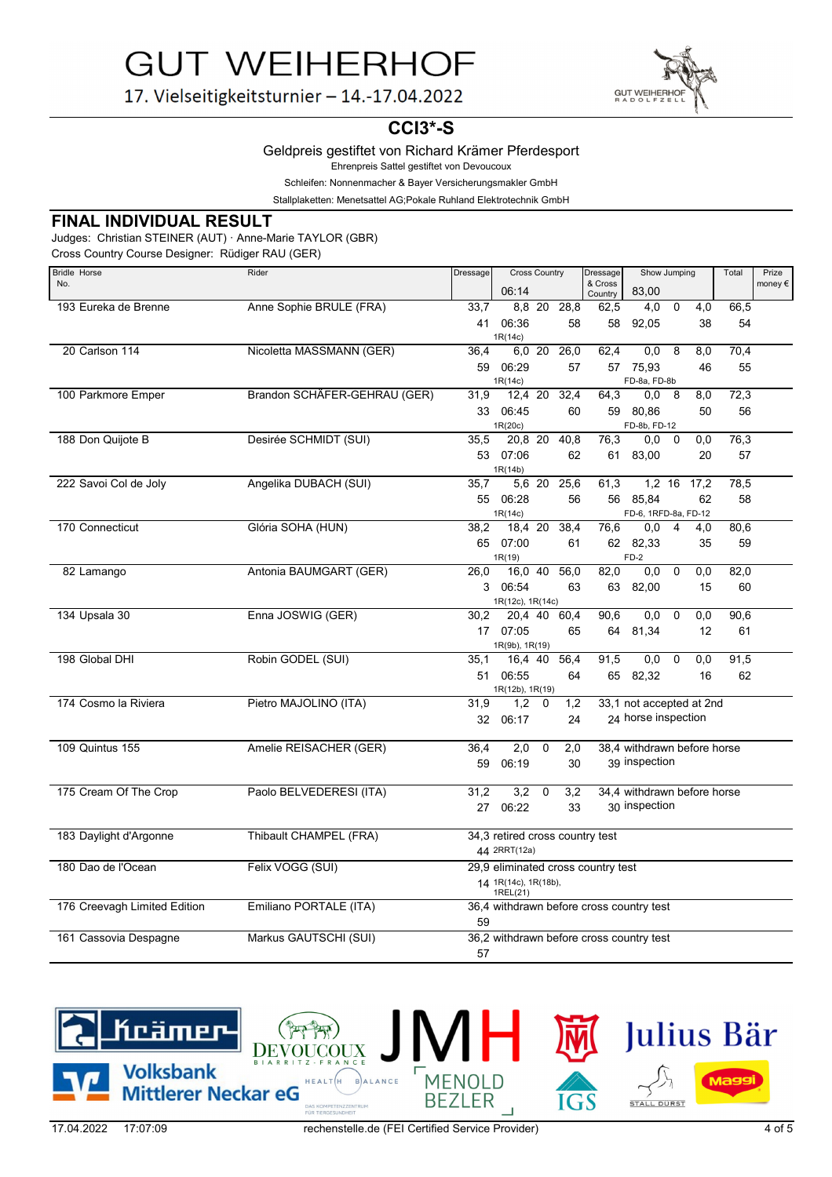

17. Vielseitigkeitsturnier - 14.-17.04.2022

## **CCI3\*-S**

### Geldpreis gestiftet von Richard Krämer Pferdesport

Ehrenpreis Sattel gestiftet von Devoucoux

Schleifen: Nonnenmacher & Bayer Versicherungsmakler GmbH

Stallplaketten: Menetsattel AG;Pokale Ruhland Elektrotechnik GmbH

## **FINAL INDIVIDUAL RESULT**

Judges: Christian STEINER (AUT) · Anne-Marie TAYLOR (GBR)

Cross Country Course Designer: Rüdiger RAU (GER)

| <b>Bridle Horse</b>          | Rider                        | Dressage   | <b>Cross Country</b>            |             | Dressage    | Show Jumping                             |                             | Total          |                  | Prize      |                  |
|------------------------------|------------------------------|------------|---------------------------------|-------------|-------------|------------------------------------------|-----------------------------|----------------|------------------|------------|------------------|
| No.                          |                              |            | 06:14                           |             |             | & Cross<br>Country                       | 83,00                       |                |                  |            | money $\epsilon$ |
| 193 Eureka de Brenne         | Anne Sophie BRULE (FRA)      | 33,7       |                                 | 8,8 20      | 28,8        | 62,5                                     | 4,0                         | $\mathbf 0$    | 4,0              | 66,5       |                  |
|                              |                              | 41         | 06:36                           |             | 58          | 58                                       | 92,05                       |                | 38               | 54         |                  |
|                              |                              |            | 1R(14c)                         |             |             |                                          |                             |                |                  |            |                  |
| 20 Carlson 114               | Nicoletta MASSMANN (GER)     | 36,4       |                                 | 6.0 20      | 26,0        | 62,4                                     | 0,0                         | 8              | 8,0              | 70,4       |                  |
|                              |                              |            | 59 06:29                        |             | 57          | 57                                       | 75,93                       |                | 46               | 55         |                  |
| 100 Parkmore Emper           | Brandon SCHÄFER-GEHRAU (GER) | 31,9       | 1R(14c)<br>12,4 20              |             | 32,4        | 64,3                                     | FD-8a, FD-8b<br>0,0         | 8              | 8,0              | 72,3       |                  |
|                              |                              |            | 33 06:45                        |             | 60          |                                          | 59 80,86                    |                | 50               | 56         |                  |
|                              |                              |            | 1R(20c)                         |             |             |                                          | FD-8b, FD-12                |                |                  |            |                  |
| 188 Don Quijote B            | Desirée SCHMIDT (SUI)        | 35.5       | 20.8 20                         |             | 40.8        | 76,3                                     | 0.0                         | $\mathbf 0$    | 0.0              | 76,3       |                  |
|                              |                              |            | 53 07:06                        |             | 62          |                                          | 61 83,00                    |                | 20               | 57         |                  |
|                              |                              |            | 1R(14b)                         |             |             |                                          |                             |                |                  |            |                  |
| 222 Savoi Col de Joly        | Angelika DUBACH (SUI)        | 35,7       |                                 |             | 5,6 20 25,6 | 61,3                                     | $1,2$ 16                    |                | 17,2             | 78,5       |                  |
|                              |                              |            | 55 06:28                        |             | 56          |                                          | 56 85,84                    |                | 62               | 58         |                  |
| 170 Connecticut              | Glória SOHA (HUN)            |            | 1R(14c)<br>18,4 20              |             | 38,4        |                                          | FD-6, 1RFD-8a, FD-12        | $\overline{4}$ |                  |            |                  |
|                              |                              | 38,2<br>65 | 07:00                           |             | 61          | 76,6                                     | 0,0<br>62 82,33             |                | 4,0<br>35        | 80,6<br>59 |                  |
|                              |                              |            | 1R(19)                          |             |             |                                          | $FD-2$                      |                |                  |            |                  |
| 82 Lamango                   | Antonia BAUMGART (GER)       | 26,0       | 16.0 40                         |             | 56.0        | 82,0                                     | 0.0                         | $\mathbf 0$    | 0,0              | 82,0       |                  |
|                              |                              | 3          | 06:54                           |             | 63          | 63                                       | 82,00                       |                | 15               | 60         |                  |
|                              |                              |            | 1R(12c), 1R(14c)                |             |             |                                          |                             |                |                  |            |                  |
| 134 Upsala 30                | Enna JOSWIG (GER)            | 30,2       | 20.4 40                         |             | 60.4        | 90,6                                     | 0,0                         | $\mathbf 0$    | 0,0              | 90,6       |                  |
|                              |                              |            | 17 07:05                        |             | 65          |                                          | 64 81,34                    |                | 12               | 61         |                  |
|                              |                              |            | 1R(9b), 1R(19)                  |             |             |                                          |                             |                |                  |            |                  |
| 198 Global DHI               | Robin GODEL (SUI)            | 35,1       | 16,4 40                         |             | 56,4        | 91,5                                     | 0,0                         | $\mathbf 0$    | $\overline{0,0}$ | 91,5       |                  |
|                              |                              | 51         | 06:55<br>1R(12b), 1R(19)        |             | 64          |                                          | 65 82,32                    |                | 16               | 62         |                  |
| 174 Cosmo la Riviera         | Pietro MAJOLINO (ITA)        | 31,9       | 1.2                             | $\Omega$    | 1,2         |                                          | 33,1 not accepted at 2nd    |                |                  |            |                  |
|                              |                              |            | 32 06:17                        |             | 24          |                                          | 24 horse inspection         |                |                  |            |                  |
|                              |                              |            |                                 |             |             |                                          |                             |                |                  |            |                  |
| <b>109 Quintus 155</b>       | Amelie REISACHER (GER)       | 36,4       | 2,0                             | $\mathbf 0$ | 2,0         |                                          | 38.4 withdrawn before horse |                |                  |            |                  |
|                              |                              | 59         | 06:19                           |             | 30          |                                          | 39 inspection               |                |                  |            |                  |
|                              |                              |            |                                 |             |             |                                          |                             |                |                  |            |                  |
| 175 Cream Of The Crop        | Paolo BELVEDERESI (ITA)      | 31,2       | 3,2                             | $\mathbf 0$ | 3,2         |                                          | 34.4 withdrawn before horse |                |                  |            |                  |
|                              |                              |            | 27 06:22                        |             | 33          |                                          | 30 inspection               |                |                  |            |                  |
| 183 Daylight d'Argonne       | Thibault CHAMPEL (FRA)       |            | 34,3 retired cross country test |             |             |                                          |                             |                |                  |            |                  |
|                              |                              |            | 44 2RRT(12a)                    |             |             |                                          |                             |                |                  |            |                  |
| 180 Dao de l'Ocean           | Felix VOGG (SUI)             |            |                                 |             |             | 29,9 eliminated cross country test       |                             |                |                  |            |                  |
|                              |                              |            | 14 1R(14c), 1R(18b),            |             |             |                                          |                             |                |                  |            |                  |
|                              |                              |            | 1REL(21)                        |             |             |                                          |                             |                |                  |            |                  |
| 176 Creevagh Limited Edition | Emiliano PORTALE (ITA)       |            |                                 |             |             | 36,4 withdrawn before cross country test |                             |                |                  |            |                  |
|                              |                              | 59         |                                 |             |             |                                          |                             |                |                  |            |                  |
| 161 Cassovia Despagne        | Markus GAUTSCHI (SUI)        |            |                                 |             |             | 36,2 withdrawn before cross country test |                             |                |                  |            |                  |
|                              |                              | 57         |                                 |             |             |                                          |                             |                |                  |            |                  |